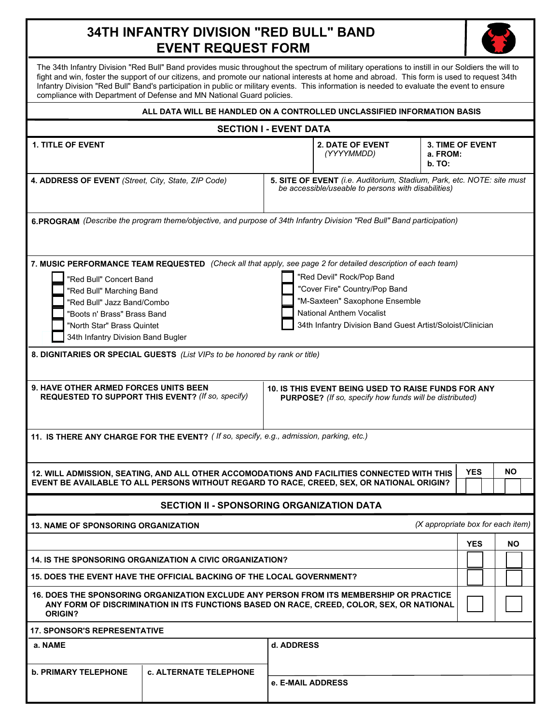## **34TH INFANTRY DIVISION "RED BULL" BAND EVENT REQUEST FORM**



| The 34th Infantry Division "Red Bull" Band provides music throughout the spectrum of military operations to instill in our Soldiers the will to<br>fight and win, foster the support of our citizens, and promote our national interests at home and abroad. This form is used to request 34th<br>Infantry Division "Red Bull" Band's participation in public or military events. This information is needed to evaluate the event to ensure<br>compliance with Department of Defense and MN National Guard policies. |                                           |                   |                                |                                                      |                         |           |  |  |  |  |  |  |  |  |
|-----------------------------------------------------------------------------------------------------------------------------------------------------------------------------------------------------------------------------------------------------------------------------------------------------------------------------------------------------------------------------------------------------------------------------------------------------------------------------------------------------------------------|-------------------------------------------|-------------------|--------------------------------|------------------------------------------------------|-------------------------|-----------|--|--|--|--|--|--|--|--|
| ALL DATA WILL BE HANDLED ON A CONTROLLED UNCLASSIFIED INFORMATION BASIS                                                                                                                                                                                                                                                                                                                                                                                                                                               |                                           |                   |                                |                                                      |                         |           |  |  |  |  |  |  |  |  |
| <b>SECTION I - EVENT DATA</b>                                                                                                                                                                                                                                                                                                                                                                                                                                                                                         |                                           |                   |                                |                                                      |                         |           |  |  |  |  |  |  |  |  |
| <b>1. TITLE OF EVENT</b>                                                                                                                                                                                                                                                                                                                                                                                                                                                                                              |                                           |                   | 2. DATE OF EVENT<br>(YYYYMMDD) | <b>3. TIME OF EVENT</b><br>a. FROM:<br><b>b. TO:</b> |                         |           |  |  |  |  |  |  |  |  |
| 5. SITE OF EVENT (i.e. Auditorium, Stadium, Park, etc. NOTE: site must<br>4. ADDRESS OF EVENT (Street, City, State, ZIP Code)<br>be accessible/useable to persons with disabilities)                                                                                                                                                                                                                                                                                                                                  |                                           |                   |                                |                                                      |                         |           |  |  |  |  |  |  |  |  |
| 6.PROGRAM (Describe the program theme/objective, and purpose of 34th Infantry Division "Red Bull" Band participation)                                                                                                                                                                                                                                                                                                                                                                                                 |                                           |                   |                                |                                                      |                         |           |  |  |  |  |  |  |  |  |
| 7. MUSIC PERFORMANCE TEAM REQUESTED (Check all that apply, see page 2 for detailed description of each team)<br>"Red Devil" Rock/Pop Band<br>"Red Bull" Concert Band<br>"Cover Fire" Country/Pop Band<br>"Red Bull" Marching Band<br>"M-Saxteen" Saxophone Ensemble<br>"Red Bull" Jazz Band/Combo<br><b>National Anthem Vocalist</b><br>"Boots n' Brass" Brass Band<br>"North Star" Brass Quintet<br>34th Infantry Division Band Guest Artist/Soloist/Clinician<br>34th Infantry Division Band Bugler                 |                                           |                   |                                |                                                      |                         |           |  |  |  |  |  |  |  |  |
| 8. DIGNITARIES OR SPECIAL GUESTS (List VIPs to be honored by rank or title)<br><b>9. HAVE OTHER ARMED FORCES UNITS BEEN</b><br>10. IS THIS EVENT BEING USED TO RAISE FUNDS FOR ANY                                                                                                                                                                                                                                                                                                                                    |                                           |                   |                                |                                                      |                         |           |  |  |  |  |  |  |  |  |
| REQUESTED TO SUPPORT THIS EVENT? (If so, specify)<br><b>PURPOSE?</b> (If so, specify how funds will be distributed)<br>11. IS THERE ANY CHARGE FOR THE EVENT? (If so, specify, e.g., admission, parking, etc.)                                                                                                                                                                                                                                                                                                        |                                           |                   |                                |                                                      |                         |           |  |  |  |  |  |  |  |  |
| 12. WILL ADMISSION, SEATING, AND ALL OTHER ACCOMODATIONS AND FACILITIES CONNECTED WITH THIS                                                                                                                                                                                                                                                                                                                                                                                                                           |                                           |                   |                                |                                                      | <b>YES</b>              | <b>NO</b> |  |  |  |  |  |  |  |  |
| EVENT BE AVAILABLE TO ALL PERSONS WITHOUT REGARD TO RACE, CREED, SEX, OR NATIONAL ORIGIN?                                                                                                                                                                                                                                                                                                                                                                                                                             |                                           |                   |                                |                                                      |                         |           |  |  |  |  |  |  |  |  |
|                                                                                                                                                                                                                                                                                                                                                                                                                                                                                                                       | SECTION II - SPONSORING ORGANIZATION DATA |                   |                                |                                                      |                         |           |  |  |  |  |  |  |  |  |
| <b>13. NAME OF SPONSORING ORGANIZATION</b>                                                                                                                                                                                                                                                                                                                                                                                                                                                                            |                                           |                   |                                | (X appropriate box for each item)                    |                         |           |  |  |  |  |  |  |  |  |
|                                                                                                                                                                                                                                                                                                                                                                                                                                                                                                                       |                                           |                   |                                |                                                      | <b>YES</b><br><b>NO</b> |           |  |  |  |  |  |  |  |  |
| 14. IS THE SPONSORING ORGANIZATION A CIVIC ORGANIZATION?                                                                                                                                                                                                                                                                                                                                                                                                                                                              |                                           |                   |                                |                                                      |                         |           |  |  |  |  |  |  |  |  |
| 15. DOES THE EVENT HAVE THE OFFICIAL BACKING OF THE LOCAL GOVERNMENT?                                                                                                                                                                                                                                                                                                                                                                                                                                                 |                                           |                   |                                |                                                      |                         |           |  |  |  |  |  |  |  |  |
| 16. DOES THE SPONSORING ORGANIZATION EXCLUDE ANY PERSON FROM ITS MEMBERSHIP OR PRACTICE<br>ANY FORM OF DISCRIMINATION IN ITS FUNCTIONS BASED ON RACE, CREED, COLOR, SEX, OR NATIONAL<br><b>ORIGIN?</b>                                                                                                                                                                                                                                                                                                                |                                           |                   |                                |                                                      |                         |           |  |  |  |  |  |  |  |  |
| <b>17. SPONSOR'S REPRESENTATIVE</b>                                                                                                                                                                                                                                                                                                                                                                                                                                                                                   |                                           |                   |                                |                                                      |                         |           |  |  |  |  |  |  |  |  |
| a. NAME                                                                                                                                                                                                                                                                                                                                                                                                                                                                                                               |                                           | d. ADDRESS        |                                |                                                      |                         |           |  |  |  |  |  |  |  |  |
| <b>b. PRIMARY TELEPHONE</b>                                                                                                                                                                                                                                                                                                                                                                                                                                                                                           | <b>c. ALTERNATE TELEPHONE</b>             | e. E-MAIL ADDRESS |                                |                                                      |                         |           |  |  |  |  |  |  |  |  |